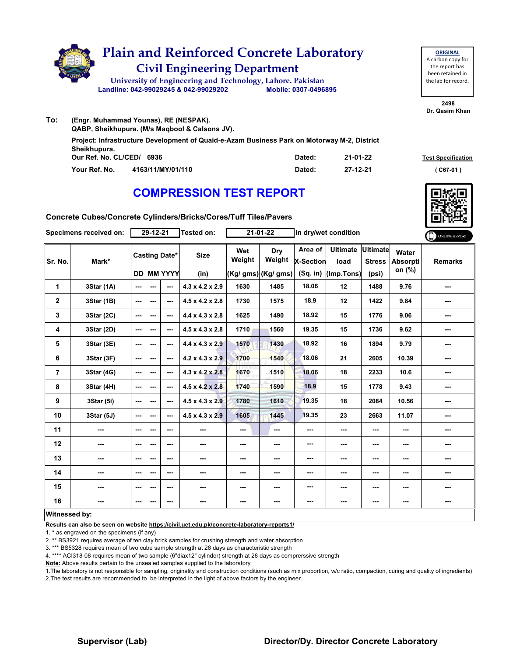

| <b>ORIGINAL</b>     |
|---------------------|
| A carbon copy for   |
| the report has      |
| been retained in    |
| the lab for record. |
|                     |

**2498 Dr. Qasim Khan**

| (Engr. Muhammad Younas), RE (NESPAK).<br>QABP, Sheikhupura. (M/s Magbool & Calsons JV).                     |        |          | PR WASHII IN          |
|-------------------------------------------------------------------------------------------------------------|--------|----------|-----------------------|
| Project: Infrastructure Development of Quaid-e-Azam Business Park on Motorway M-2, District<br>Sheikhupura. |        |          |                       |
| Our Ref. No. CL/CED/ 6936                                                                                   | Dated: | 21-01-22 | <b>Test Specifica</b> |
| Your Ref. No.<br>4163/11/MY/01/110                                                                          | Dated: | 27-12-21 | (C67-01)              |

# **COMPRESSION TEST REPORT**



**Test Specification** 

**Concrete Cubes/Concrete Cylinders/Bricks/Cores/Tuff Tiles/Pavers**

|                         | Specimens received on: | $29 - 12 - 21$           |                                           |         | Tested on:                  |               | $21 - 01 - 22$                        | in dry/wet condition                      |                                       |                                           |                                    | ONLINE REPORT  |
|-------------------------|------------------------|--------------------------|-------------------------------------------|---------|-----------------------------|---------------|---------------------------------------|-------------------------------------------|---------------------------------------|-------------------------------------------|------------------------------------|----------------|
| Sr. No.                 | Mark*                  |                          | <b>Casting Date*</b><br><b>DD MM YYYY</b> |         | <b>Size</b><br>(in)         | Wet<br>Weight | Dry<br>Weight<br>$(Kg/gms)$ (Kg/ gms) | Area of<br><b>X-Section</b><br>$(Sq.$ in) | <b>Ultimate</b><br>load<br>(Imp.Tons) | <b>Ultimate</b><br><b>Stress</b><br>(psi) | Water<br><b>Absorpti</b><br>on (%) | <b>Remarks</b> |
| 1                       | 3Star (1A)             | ---                      | ---                                       | ---     | $4.3 \times 4.2 \times 2.9$ | 1630          | 1485                                  | 18.06                                     | 12                                    | 1488                                      | 9.76                               | ---            |
| $\overline{\mathbf{2}}$ | 3Star (1B)             | ---                      | $--$                                      | $--$    | $4.5 \times 4.2 \times 2.8$ | 1730          | 1575                                  | 18.9                                      | 12                                    | 1422                                      | 9.84                               | ---            |
| 3                       | 3Star (2C)             | $--$                     | ---                                       | ---     | $4.4 \times 4.3 \times 2.8$ | 1625          | 1490                                  | 18.92                                     | 15                                    | 1776                                      | 9.06                               | ---            |
| 4                       | 3Star (2D)             | ---                      | ---                                       | $--$    | $4.5 \times 4.3 \times 2.8$ | 1710          | 1560                                  | 19.35                                     | 15                                    | 1736                                      | 9.62                               | ---            |
| 5                       | 3Star (3E)             | $--$                     | ---                                       | $--$    | $4.4 \times 4.3 \times 2.9$ | 1570          | 1430                                  | 18.92                                     | 16                                    | 1894                                      | 9.79                               | ---            |
| 6                       | 3Star (3F)             | ---                      | ---                                       | ---     | $4.2 \times 4.3 \times 2.9$ | 1700          | 1540                                  | 18.06                                     | 21                                    | 2605                                      | 10.39                              | ---            |
| 7                       | 3Star (4G)             | $--$                     | ---                                       | $--$    | $4.3 \times 4.2 \times 2.8$ | 1670          | 1510                                  | 18.06                                     | 18                                    | 2233                                      | 10.6                               | ---            |
| 8                       | 3Star (4H)             | $--$                     | ---                                       | $--$    | $4.5 \times 4.2 \times 2.8$ | 1740          | 1590                                  | 18.9                                      | 15                                    | 1778                                      | 9.43                               | ---            |
| 9                       | 3Star (5i)             | $\overline{\phantom{a}}$ | ---                                       | $- - -$ | $4.5 \times 4.3 \times 2.9$ | 1780          | 1610                                  | 19.35                                     | 18                                    | 2084                                      | 10.56                              | ---            |
| 10                      | 3Star (5J)             | ---                      | ---                                       | ---     | $4.5 \times 4.3 \times 2.9$ | 1605          | 1445                                  | 19.35                                     | 23                                    | 2663                                      | 11.07                              |                |
| 11                      | $\cdots$               | ---                      | ---                                       | ---     | ---                         | ---           | ---                                   | ---                                       | ---                                   | ---                                       | ---                                | ---            |
| 12                      | ---                    | ---                      | ---                                       | $--$    | ---                         | ---           | ---                                   | ---                                       | ---                                   | ---                                       | ---                                | ---            |
| 13                      | ---                    | ---                      | ---                                       | ---     | ---                         | ---           | ---                                   | ---                                       | ---                                   | ---                                       | ---                                | ---            |
| 14                      | ---                    | $--$                     | ---                                       | ---     | ---                         | ---           | ---                                   | ---                                       | ---                                   | ---                                       | ---                                |                |
| 15                      | ---                    | ---                      | ---                                       | ---     | ---                         | ---           | ---                                   | ---                                       | ---                                   | ---                                       | ---                                | ---            |
| 16                      | ---                    | ---                      | ---                                       | ---     | ---                         | ---           | ---                                   | ---                                       | ---                                   | ---                                       | $\sim$                             |                |
| Witnessed by:           |                        |                          |                                           |         |                             |               |                                       |                                           |                                       |                                           |                                    |                |

#### **Witnessed by:**

**To:**

**Results can also be seen on website https://civil.uet.edu.pk/concrete-laboratory-reports1/**

1. \* as engraved on the specimens (if any)

2. \*\* BS3921 requires average of ten clay brick samples for crushing strength and water absorption

3. \*\*\* BS5328 requires mean of two cube sample strength at 28 days as characteristic strength

4. \*\*\*\* ACI318-08 requires mean of two sample (6"diax12" cylinder) strength at 28 days as comprerssive strength

**Note:** Above results pertain to the unsealed samples supplied to the laboratory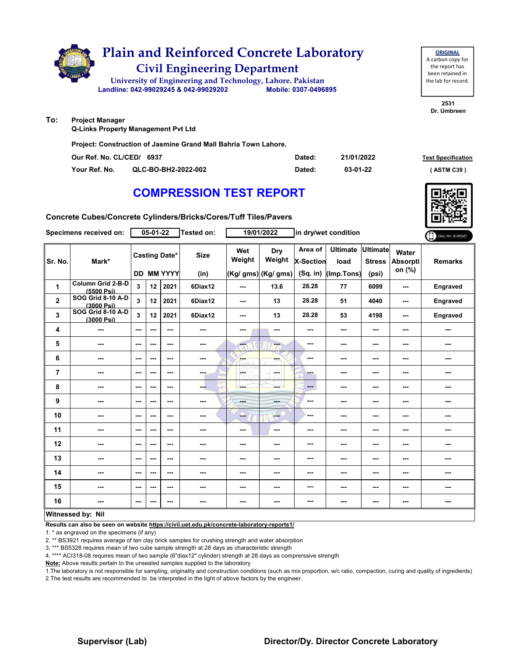

**Q-Links Property Management Pvt Ltd**

**Project: Construction of Jasmine Grand Mall Bahria Town Lahore.**

| Our Ref. No. CL/CED/ 6937 |                     | Dated: | 21/01/2022 | <b>Test Specification</b> |
|---------------------------|---------------------|--------|------------|---------------------------|
| Your Ref. No.             | QLC-BO-BH2-2022-002 | Dated: | 03-01-22   | <b>ASTM C39</b>           |

## **COMPRESSION TEST REPORT**

**Concrete Cubes/Concrete Cylinders/Bricks/Cores/Tuff Tiles/Pavers**

|                         | Specimens received on:          |                          | 05-01-22 |                                           | <b>Tested on:</b>   |                          | 19/01/2022                           |                                           | in dry/wet condition                  |                                           |                                    | ONLINE REPORT  |
|-------------------------|---------------------------------|--------------------------|----------|-------------------------------------------|---------------------|--------------------------|--------------------------------------|-------------------------------------------|---------------------------------------|-------------------------------------------|------------------------------------|----------------|
| Sr. No.                 | Mark*                           |                          |          | <b>Casting Date*</b><br><b>DD MM YYYY</b> | <b>Size</b><br>(in) | Wet<br>Weight            | Dry<br>Weight<br>(Kg/ gms) (Kg/ gms) | Area of<br><b>X-Section</b><br>$(Sq.$ in) | <b>Ultimate</b><br>load<br>(Imp.Tons) | <b>Ultimate</b><br><b>Stress</b><br>(psi) | Water<br><b>Absorpti</b><br>on (%) | <b>Remarks</b> |
| 1                       | Column Grid 2-B-D<br>(5500 Psi) | $\overline{\mathbf{3}}$  | 12       | 2021                                      | 6Diax12             | ---                      | 13.6                                 | 28.28                                     | 77                                    | 6099                                      | ---                                | Engraved       |
| $\overline{\mathbf{2}}$ | SOG Grid 8-10 A-D<br>(3000 Psi) | 3                        | 12       | 2021                                      | 6Diax12             | ---                      | 13                                   | 28.28                                     | 51                                    | 4040                                      | $- - -$                            | Engraved       |
| 3                       | SOG Grid 8-10 A-D<br>(3000 Psi) | 3                        | 12       | 2021                                      | 6Diax12             | ---                      | 13                                   | 28.28                                     | 53                                    | 4198                                      | ---                                | Engraved       |
| 4                       |                                 | ---                      | ---      | $\overline{\phantom{a}}$                  | $\sim$              | ---                      | ---                                  | ---                                       | ---                                   | ---                                       | ---                                | ---            |
| 5                       | $\cdots$                        | $\sim$                   | ---      | ---                                       | ---                 | $\overline{\mathbf{a}}$  | ---                                  | $- - -$                                   | ---                                   | ---                                       | ---                                | ---            |
| 6                       | $- - -$                         | $\sim$ $\sim$            | ---      | $- - -$                                   | $\sim$ $\sim$       | ---                      | ---                                  | ---                                       | ---                                   | ---                                       | ---                                | ---            |
| $\overline{7}$          | ---                             | $--$                     | ---      | $\overline{\phantom{a}}$                  | ---                 | <b>CETHY</b><br>LORD WHI | ---                                  | ---                                       | ---                                   | ---                                       |                                    | ---            |
| 8                       | ---                             | $\overline{\phantom{a}}$ | ---      | ---                                       | ---                 | ---                      | ment i                               | $\qquad \qquad \cdots$                    | ---                                   | ---                                       |                                    | ---            |
| 9                       | ---                             | $--$                     | ---      | ---                                       | $\sim$              | $- - -$                  | ---                                  | ---                                       | ---                                   | ---                                       | ---                                | ---            |
| 10                      | ---                             | $\sim$                   | ---      | $\sim$                                    | ---                 | ---                      | ---                                  | ---                                       | ---                                   | ---                                       | ---                                | ---            |
| 11                      | $\overline{\phantom{a}}$        | $\sim$                   | ---      | $\sim$ $\sim$                             | $\sim$              | $--$                     | $\frac{1}{2}$                        | ---                                       | ---                                   | $\overline{\phantom{a}}$                  | ---                                | ---            |
| 12                      | $\qquad \qquad \cdots$          | ---                      | ---      | $\overline{\phantom{a}}$                  | ---                 | ---                      | ---                                  | ---                                       | ---                                   | ---                                       | ---                                | ---            |
| 13                      | ---                             | $--$                     | ---      | $--$                                      | $\sim$              | ---                      | ---                                  | ---                                       | ---                                   | ---                                       | ---                                | ---            |
| 14                      | ---                             | $\overline{\phantom{a}}$ | ---      | ---                                       | $\sim$              | ---                      | ---                                  | ---                                       | ---                                   | ---                                       | ---                                | ---            |
| 15                      | ---                             | $\overline{\phantom{a}}$ | ---      | $- - -$                                   | ---                 | ---                      | ---                                  | ---                                       | ---                                   | ---                                       | ---                                | ---            |
| 16                      | ---                             | $\overline{\phantom{a}}$ | ---      | $\sim$ $\sim$                             | ---                 | ---                      | ---                                  | ---                                       | ---                                   | $\overline{\phantom{a}}$                  | ---                                | ---            |
|                         | Witnessed by: Nil               |                          |          |                                           |                     |                          |                                      |                                           |                                       |                                           |                                    |                |

#### **Witnessed by: Nil**

**Results can also be seen on website https://civil.uet.edu.pk/concrete-laboratory-reports1/**

1. \* as engraved on the specimens (if any)

2. \*\* BS3921 requires average of ten clay brick samples for crushing strength and water absorption

3. \*\*\* BS5328 requires mean of two cube sample strength at 28 days as characteristic strength

4. \*\*\*\* ACI318-08 requires mean of two sample (6"diax12" cylinder) strength at 28 days as comprerssive strength

**Note:** Above results pertain to the unsealed samples supplied to the laboratory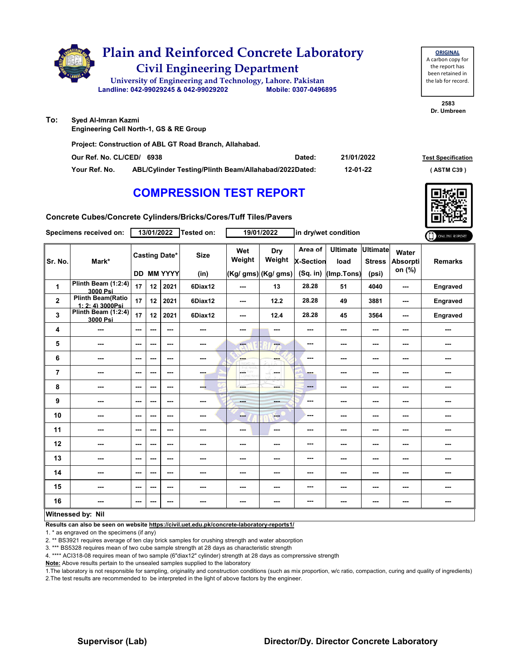

| Our Ref. No. CL/CED/ 6938 |                                                       | Dated: | 21/01/2022 | <b>Test Specification</b> |
|---------------------------|-------------------------------------------------------|--------|------------|---------------------------|
| Your Ref. No.             | ABL/Cylinder Testing/Plinth Beam/Allahabad/2022Dated: |        | 12-01-22   | (ASTM C39)                |

## **COMPRESSION TEST REPORT**

**Concrete Cubes/Concrete Cylinders/Bricks/Cores/Tuff Tiles/Pavers**

|                         | Specimens received on:                       | 13/01/2022 |      |                                           | Tested on:          | 19/01/2022<br>in dry/wet condition |                                      |                                         | ONLINE REPORT                         |                                           |                                    |                |
|-------------------------|----------------------------------------------|------------|------|-------------------------------------------|---------------------|------------------------------------|--------------------------------------|-----------------------------------------|---------------------------------------|-------------------------------------------|------------------------------------|----------------|
| Sr. No.                 | Mark*                                        |            |      | <b>Casting Date*</b><br><b>DD MM YYYY</b> | <b>Size</b><br>(in) | Wet<br>Weight                      | Dry<br>Weight<br>(Kg/ gms) (Kg/ gms) | Area of<br><b>X-Section</b><br>(Sq. in) | <b>Ultimate</b><br>load<br>(Imp.Tons) | <b>Ultimate</b><br><b>Stress</b><br>(psi) | Water<br><b>Absorpti</b><br>on (%) | <b>Remarks</b> |
| 1                       | Plinth Beam (1:2:4)<br>3000 Psi              | 17         | 12   | 2021                                      | 6Diax12             | ---                                | 13                                   | 28.28                                   | 51                                    | 4040                                      | ---                                | Engraved       |
| $\mathbf 2$             | <b>Plinth Beam(Ratio</b><br>1: 2: 4) 3000Psi | 17         | 12   | 2021                                      | 6Diax12             | ---                                | 12.2                                 | 28.28                                   | 49                                    | 3881                                      | ---                                | Engraved       |
| 3                       | Plinth Beam (1:2:4)<br>3000 Psi              | 17         | 12   | 2021                                      | 6Diax12             | ---                                | 12.4                                 | 28.28                                   | 45                                    | 3564                                      | ---                                | Engraved       |
| 4                       | ---                                          | ---        | ---  | ---                                       | ---                 | ---                                | $\overline{\phantom{a}}$             | ---                                     | ---                                   | ---                                       | ---                                | ---            |
| 5                       | ---                                          | ---        | ---  | ---                                       | ---                 | ---                                | ---                                  | ---                                     | ---                                   | ---                                       | ---                                | ---            |
| 6                       | ---                                          | ---        | ---  | ---                                       | ---                 | <b>SHOP</b>                        | ---                                  | ---                                     | ---                                   | ---                                       |                                    | ---            |
| $\overline{\mathbf{r}}$ | ---                                          | ---        | ---  | ---                                       | ---                 | LOST.                              | a Su<br><b>Service</b>               | ---                                     | ---                                   | ---                                       | ---                                | ---            |
| 8                       | ---                                          | ---        | ---  | ---                                       | ---                 | ---                                | ---                                  | ---                                     | ---                                   | ---                                       | ---                                | ---            |
| 9                       | ---                                          | ---        | $--$ | ---                                       | ---                 | <b>House</b>                       | and in                               | ---                                     | ---                                   | ---                                       | ---                                | ---            |
| 10                      | ---                                          | $\cdots$   | ---  | ---                                       | ---                 | ---                                | $-$                                  | ---                                     | ---                                   | ---                                       | ---                                | ---            |
| 11                      | ---                                          | ---        | ---  | ---                                       | ---                 | ---                                | $\sim$                               | ---                                     | ---                                   | ---                                       | ---                                | ---            |
| 12                      | ---                                          | ---        | ---  | ---                                       | ---                 | ---                                | ---                                  | ---                                     | ---                                   | ---                                       | ---                                | ---            |
| 13                      | ---                                          | ---        | ---  | ---                                       | ---                 | ---                                | ---                                  | ---                                     | ---                                   | ---                                       | ---                                | ---            |
| 14                      | ---                                          | ---        | ---  | ---                                       | ---                 | ---                                | ---                                  | ---                                     | ---                                   | ---                                       |                                    | ---            |
| 15                      | ---                                          | ---        | ---  | ---                                       | ---                 | ---                                | ---                                  | ---                                     | ---                                   | ---                                       | ---                                | ---            |
| 16                      | ---                                          | ---        | ---  | ---                                       | ---                 | ---                                | ---                                  | ---                                     | ---                                   | ---                                       | ---                                | ---            |
|                         | Witnessed by: Nil                            |            |      |                                           |                     |                                    |                                      |                                         |                                       |                                           |                                    |                |

#### **Witnessed by: Nil**

**Results can also be seen on website https://civil.uet.edu.pk/concrete-laboratory-reports1/**

1. \* as engraved on the specimens (if any)

2. \*\* BS3921 requires average of ten clay brick samples for crushing strength and water absorption

3. \*\*\* BS5328 requires mean of two cube sample strength at 28 days as characteristic strength

4. \*\*\*\* ACI318-08 requires mean of two sample (6"diax12" cylinder) strength at 28 days as comprerssive strength

**Note:** Above results pertain to the unsealed samples supplied to the laboratory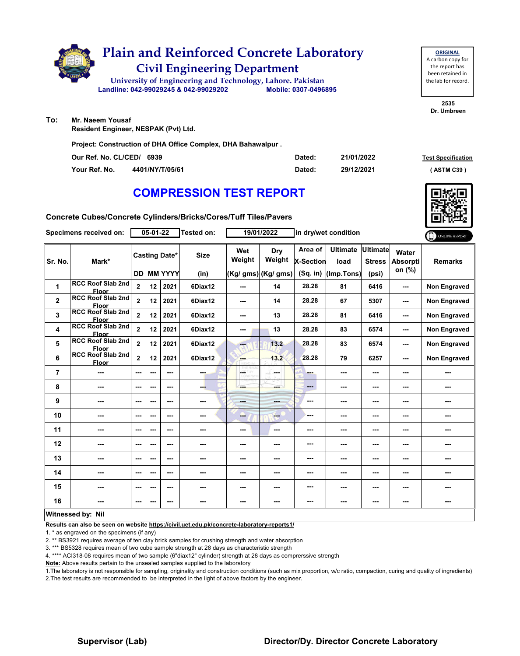

**To: Mr. Naeem Yousaf**

**Resident Engineer, NESPAK (Pvt) Ltd.**

**Project: Construction of DHA Office Complex, DHA Bahawalpur .**

| Our Ref. No. CL/CED/ 6939 |                 | Dated: | 21/01/2022 | <b>Test Specification</b> |
|---------------------------|-----------------|--------|------------|---------------------------|
| Your Ref. No.             | 4401/NY/T/05/61 | Dated: | 29/12/2021 | ASTM C39                  |

## **COMPRESSION TEST REPORT**

**Concrete Cubes/Concrete Cylinders/Bricks/Cores/Tuff Tiles/Pavers**

|                | Specimens received on:                   | 05-01-22                 |     |                          | <b>Tested on:</b> |               | 19/01/2022<br>in dry/wet condition |                             |                         |                                  |                          |                     |
|----------------|------------------------------------------|--------------------------|-----|--------------------------|-------------------|---------------|------------------------------------|-----------------------------|-------------------------|----------------------------------|--------------------------|---------------------|
| Sr. No.        | Mark*                                    |                          |     | <b>Casting Date*</b>     | <b>Size</b>       | Wet<br>Weight | <b>Dry</b><br>Weight               | Area of<br><b>X-Section</b> | <b>Ultimate</b><br>load | <b>Ultimate</b><br><b>Stress</b> | Water<br><b>Absorpti</b> | <b>Remarks</b>      |
|                |                                          |                          |     | <b>DD MM YYYY</b>        | (in)              |               | (Kg/ gms) (Kg/ gms)                | $(Sq.$ in)                  | (Imp.Tons)              | (psi)                            | on (%)                   |                     |
| 1              | <b>RCC Roof Slab 2nd</b><br>Floor        | $\mathbf 2$              | 12  | 2021                     | 6Diax12           | ---           | 14                                 | 28.28                       | 81                      | 6416                             | ---                      | <b>Non Engraved</b> |
| $\mathbf{2}$   | <b>RCC Roof Slab 2nd</b><br><b>Floor</b> | $\overline{\mathbf{2}}$  | 12  | 2021                     | 6Diax12           | ---           | 14                                 | 28.28                       | 67                      | 5307                             | ---                      | <b>Non Engraved</b> |
| 3              | <b>RCC Roof Slab 2nd</b><br>Floor        | $\overline{2}$           | 12  | 2021                     | 6Diax12           | ---           | 13                                 | 28.28                       | 81                      | 6416                             | ---                      | <b>Non Engraved</b> |
| 4              | <b>RCC Roof Slab 2nd</b><br><b>Floor</b> | $\overline{\mathbf{2}}$  | 12  | 2021                     | 6Diax12           | ---           | 13                                 | 28.28                       | 83                      | 6574                             | ---                      | <b>Non Engraved</b> |
| 5              | <b>RCC Roof Slab 2nd</b><br><b>Floor</b> | $\overline{\mathbf{2}}$  | 12  | 2021                     | 6Diax12           | ---           | 13.2                               | 28.28                       | 83                      | 6574                             | ---                      | <b>Non Engraved</b> |
| 6              | <b>RCC Roof Slab 2nd</b><br><b>Floor</b> | $\overline{2}$           | 12  | 2021                     | 6Diax12           | ---           | 13.2                               | 28.28                       | 79                      | 6257                             | ---                      | <b>Non Engraved</b> |
| $\overline{7}$ | ---                                      | $- - -$                  | --- | ---                      | ---               | ---           | <b>Security</b>                    | ---                         | ---                     | ---                              | ---                      | ---                 |
| 8              | ---                                      | $--$                     | --- | $\overline{\phantom{a}}$ | ---               | ---           | ---                                | $---$                       | ---                     | ---                              | ---                      | ---                 |
| 9              | ---                                      | $\overline{\phantom{a}}$ | --- | $\overline{\phantom{a}}$ | ---               | ---           | ---                                | ---                         | ---                     | ---                              | ---                      | ---                 |
| 10             | ---                                      | $--$                     | --- | ---                      | ---               | ---           | $\qquad \qquad -$                  | ---                         | ---                     | ---                              | ---                      | ---                 |
| 11             | ---                                      | ---                      | --- | $\overline{\phantom{a}}$ | ---               | ---           | $\cdots$                           | ---                         | ---                     | ---                              | ---                      | ---                 |
| 12             | ---                                      | ---                      | --- | ---                      | ---               | ---           | ---                                | ---                         | ---                     | ---                              | ---                      | ---                 |
| 13             | ---                                      | $--$                     | --- | ---                      | ---               | ---           | ---                                | ---                         | ---                     | ---                              |                          | ---                 |
| 14             | ---                                      | $\sim$ $\sim$            | --- | $- - -$                  | ---               | ---           | ---                                | ---                         | ---                     | ---                              | ---                      | ---                 |
| 15             | ---                                      | $--$                     | --- | ---                      | ---               | ---           | ---                                | ---                         | ---                     | ---                              |                          | ---                 |
| 16             | ---                                      | $--$                     | --- | $\sim$                   | ---               | ---           | ---                                | ---                         | ---                     | ---                              | ---                      | ---                 |
|                | Witnessed by: Nil                        |                          |     |                          |                   |               |                                    |                             |                         |                                  |                          |                     |

**Results can also be seen on website https://civil.uet.edu.pk/concrete-laboratory-reports1/**

1. \* as engraved on the specimens (if any)

2. \*\* BS3921 requires average of ten clay brick samples for crushing strength and water absorption

3. \*\*\* BS5328 requires mean of two cube sample strength at 28 days as characteristic strength

4. \*\*\*\* ACI318-08 requires mean of two sample (6"diax12" cylinder) strength at 28 days as comprerssive strength

**Note:** Above results pertain to the unsealed samples supplied to the laboratory

1.The laboratory is not responsible for sampling, originality and construction conditions (such as mix proportion, w/c ratio, compaction, curing and quality of ingredients) 2.The test results are recommended to be interpreted in the light of above factors by the engineer.

#### **Supervisor (Lab) Director/Dy. Director Concrete Laboratory**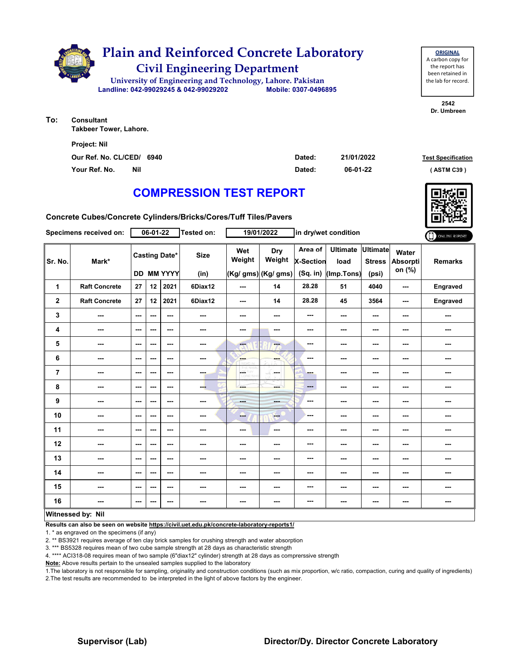

| To: | Consultant                    |
|-----|-------------------------------|
|     | <b>Takbeer Tower, Lahore.</b> |

| <b>Project: Nil</b>         |        |            |                           |
|-----------------------------|--------|------------|---------------------------|
| Our Ref. No. CL/CED/ 6940   | Dated: | 21/01/2022 | <b>Test Specification</b> |
| Your Ref. No.<br><b>Nil</b> | Dated: | 06-01-22   | (ASTM C39)                |

# **COMPRESSION TEST REPORT**

**Concrete Cubes/Concrete Cylinders/Bricks/Cores/Tuff Tiles/Pavers**

|         | Specimens received on: |                          | $06 - 01 - 22$           |                                           | <b>Tested on:</b>   |               | 19/01/2022                                  |                                    | in dry/wet condition                  |                                           |                                    | ONLINE REPORT  |
|---------|------------------------|--------------------------|--------------------------|-------------------------------------------|---------------------|---------------|---------------------------------------------|------------------------------------|---------------------------------------|-------------------------------------------|------------------------------------|----------------|
| Sr. No. | Mark*                  |                          |                          | <b>Casting Date*</b><br><b>DD MM YYYY</b> | <b>Size</b><br>(in) | Wet<br>Weight | <b>Dry</b><br>Weight<br>(Kg/ gms) (Kg/ gms) | Area of<br>X-Section<br>$(Sq.$ in) | <b>Ultimate</b><br>load<br>(Imp.Tons) | <b>Ultimate</b><br><b>Stress</b><br>(psi) | Water<br><b>Absorpti</b><br>on (%) | <b>Remarks</b> |
| 1       | <b>Raft Concrete</b>   | 27                       | 12                       | 2021                                      | 6Diax12             | ---           | 14                                          | 28.28                              | 51                                    | 4040                                      | ---                                | Engraved       |
| 2       | <b>Raft Concrete</b>   | 27                       | 12                       | 2021                                      | 6Diax12             | ---           | 14                                          | 28.28                              | 45                                    | 3564                                      | ---                                | Engraved       |
| 3       | ---                    | ---                      | ---                      | $--$                                      | ---                 | ---           | ---                                         | ---                                | ---                                   | ---                                       | ---                                | ---            |
| 4       | ---                    | $\sim$ $\sim$            | $\overline{\phantom{a}}$ | ---                                       | ---                 | ---           | ---                                         | ---                                | ---                                   | ---                                       | ---                                | ---            |
| 5       | ---                    | $\overline{\phantom{a}}$ | ---                      | ---                                       | ---                 | me.           | ---                                         | ---                                | ---                                   | ---                                       | ---                                | ---            |
| 6       | ---                    | ---                      | ---                      | ---                                       | ---                 | <b>SHOP</b>   | ---                                         | ---                                | ---                                   | ---                                       | ---                                | ---            |
| 7       | ---                    | $- - -$                  | $\sim$ $\sim$            | ---                                       | ---                 | <b>LOETHY</b> | la sua                                      | --                                 | ---                                   | ---                                       | ---                                | ---            |
| 8       | ---                    | $\sim$ $\sim$            | $\overline{\phantom{a}}$ | $--$                                      | ---                 |               |                                             | ---                                | $--$                                  | $\overline{\phantom{a}}$                  | ---                                | ---            |
| 9       | ---                    | $\overline{\phantom{a}}$ | ---                      | ---                                       | ---                 | <b>Band</b>   | ---                                         | ---                                | ---                                   | $\overline{\phantom{a}}$                  | ---                                | ---            |
| 10      | ---                    | ---                      | ---                      | $--$                                      | ---                 | --            | ---                                         | ---                                | ---                                   | ---                                       | ---                                | ---            |
| 11      | ---                    | ---                      | $\sim$                   | ---                                       | ---                 | $--$          | ---                                         | ---                                | ---                                   | ---                                       | ---                                | ---            |
| 12      | ---                    | $\qquad \qquad \cdots$   | $\overline{\phantom{a}}$ | ---                                       | ---                 | ---           | ---                                         | ---                                | ---                                   | ---                                       | ---                                | ---            |
| 13      | ---                    | ---                      | ---                      | ---                                       |                     | ---           | ---                                         | ---                                | ---                                   | ---                                       | ---                                | ---            |
| 14      | ---                    | ---                      | ---                      | ---                                       | ---                 | ---           | ---                                         | ---                                | ---                                   | ---                                       | ---                                | ---            |
| 15      | ---                    | $- - -$                  | $\sim$ $\sim$            | ---                                       | ---                 | ---           | ---                                         | ---                                | ---                                   | $\sim$ $\sim$                             | ---                                | ---            |
| 16      | ---                    | ---                      | ---                      | ---                                       |                     | ---           | ---                                         | ---                                | ---                                   | ---                                       | ---                                | ---            |
|         | Witnessed by: Nil      |                          |                          |                                           |                     |               |                                             |                                    |                                       |                                           |                                    |                |

#### **Witnessed by: Nil**

**Results can also be seen on website https://civil.uet.edu.pk/concrete-laboratory-reports1/**

1. \* as engraved on the specimens (if any)

2. \*\* BS3921 requires average of ten clay brick samples for crushing strength and water absorption

3. \*\*\* BS5328 requires mean of two cube sample strength at 28 days as characteristic strength

4. \*\*\*\* ACI318-08 requires mean of two sample (6"diax12" cylinder) strength at 28 days as comprerssive strength

**Note:** Above results pertain to the unsealed samples supplied to the laboratory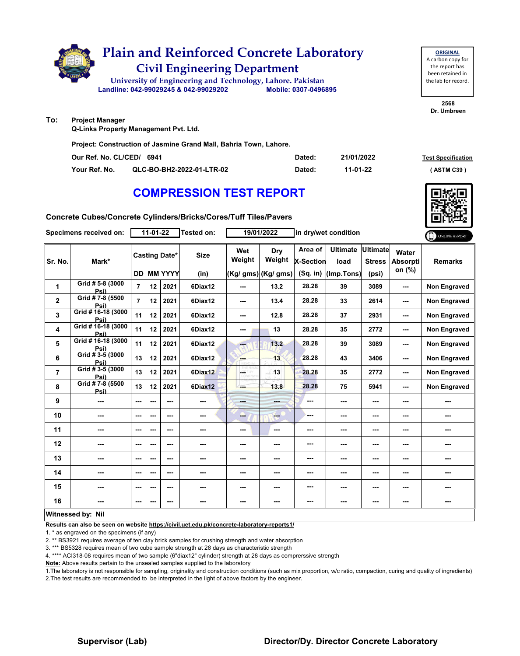

**Dr. Umbreen**

#### **To: Project Manager**

**Q-Links Property Management Pvt. Ltd.**

**Project: Construction of Jasmine Grand Mall, Bahria Town, Lahore.**

| Our Ref. No. CL/CED/ 6941 |                           | Dated: | 21/01/2022 | <b>Test Specification</b> |
|---------------------------|---------------------------|--------|------------|---------------------------|
| Your Ref. No.             | QLC-BO-BH2-2022-01-LTR-02 | Dated: | 11-01-22   | <b>ASTM C39</b> '         |

## **COMPRESSION TEST REPORT**

**Concrete Cubes/Concrete Cylinders/Bricks/Cores/Tuff Tiles/Pavers**

|                | Specimens received on:       |                          | 11-01-22 |                                    | <b>Tested on:</b>   |                | 19/01/2022                            |                                           | in dry/wet condition                  |                                           |                                    | ONLINE REPORT       |
|----------------|------------------------------|--------------------------|----------|------------------------------------|---------------------|----------------|---------------------------------------|-------------------------------------------|---------------------------------------|-------------------------------------------|------------------------------------|---------------------|
| Sr. No.        | Mark*                        |                          |          | <b>Casting Date*</b><br>DD MM YYYY | <b>Size</b><br>(in) | Wet<br>Weight  | Dry<br>Weight<br>$(Kg/gms)$ (Kg/ gms) | Area of<br><b>X-Section</b><br>$(Sq.$ in) | <b>Ultimate</b><br>load<br>(Imp.Tons) | <b>Ultimate</b><br><b>Stress</b><br>(psi) | Water<br><b>Absorpti</b><br>on (%) | <b>Remarks</b>      |
| 1              | Grid # 5-8 (3000<br>Psi)     | $\overline{7}$           | 12       | 2021                               | 6Diax12             | ---            | 13.2                                  | 28.28                                     | 39                                    | 3089                                      | ---                                | <b>Non Engraved</b> |
| $\mathbf{2}$   | Grid #7-8 (5500<br>Psi)      | $\overline{7}$           | 12       | 2021                               | 6Diax12             | ---            | 13.4                                  | 28.28                                     | 33                                    | 2614                                      | ---                                | <b>Non Engraved</b> |
| 3              | Grid # 16-18 (3000<br>Psi)   | 11                       | 12       | 2021                               | 6Diax12             | ---            | 12.8                                  | 28.28                                     | 37                                    | 2931                                      | ---                                | <b>Non Engraved</b> |
| 4              | Grid # 16-18 (3000<br>Psi)   | 11                       | 12       | 2021                               | 6Diax12             | ---            | 13                                    | 28.28                                     | 35                                    | 2772                                      | ---                                | <b>Non Engraved</b> |
| 5              | Grid # 16-18 (3000<br>Psi)   | 11                       | 12       | 2021                               | 6Diax12             | $-$            | 13.2                                  | 28.28                                     | 39                                    | 3089                                      | ---                                | Non Engraved        |
| 6              | Grid # 3-5 (3000<br>Psi)     | 13                       | 12       | 2021                               | 6Diax12             | ---            | 13                                    | 28.28                                     | 43                                    | 3406                                      | ---                                | <b>Non Engraved</b> |
| $\overline{7}$ | $Grid \# 3-5 (3000)$<br>Psi) | 13                       | 12       | 2021                               | 6Diax12             | ÷              | 13                                    | 28.28                                     | 35                                    | 2772                                      | ---                                | Non Engraved        |
| 8              | Grid #7-8 (5500<br>Psi)      | 13                       | 12       | 2021                               | 6Diax12             | ---            | 13.8                                  | 28.28                                     | 75                                    | 5941                                      | ---                                | <b>Non Engraved</b> |
| 9              | ---                          | ---                      | ---      | ---                                | ---                 | <b>Barbara</b> | ---                                   | ---                                       | ---                                   | $- - -$                                   | ---                                | ---                 |
| 10             | ---                          | ---                      | ---      | ---                                | ---                 | --             | ment of                               | ---                                       | ---                                   | $--$                                      | ---                                | ---                 |
| 11             | ---                          | ---                      | ---      | ---                                | ---                 | ---            | $\sim$                                | ---                                       | ---                                   | ---                                       | ---                                | ---                 |
| 12             |                              | ---                      |          | ---                                | ---                 | ---            | ---                                   | ---                                       | ---                                   | ---                                       | ---                                |                     |
| 13             | ---                          | ---                      | ---      | ---                                | ---                 | ---            | ---                                   | ---                                       | ---                                   | $--$                                      | ---                                | ---                 |
| 14             | ---                          | ---                      | ---      | ---                                | ---                 | ---            | ---                                   | ---                                       | ---                                   | $--$                                      | ---                                | ---                 |
| 15             | ---                          | ---                      | ---      | ---                                | ---                 | ---            | ---                                   | ---                                       | ---                                   | $--$                                      | ---                                | ---                 |
| 16             | ---                          | $\overline{\phantom{a}}$ |          | ---                                | ---                 | ---            | ---                                   | ---                                       | ---                                   | ---                                       | ---                                | ---                 |
|                | Witnessed by: Nil            |                          |          |                                    |                     |                |                                       |                                           |                                       |                                           |                                    |                     |

#### **Results can also be seen on website https://civil.uet.edu.pk/concrete-laboratory-reports1/**

1. \* as engraved on the specimens (if any)

2. \*\* BS3921 requires average of ten clay brick samples for crushing strength and water absorption

3. \*\*\* BS5328 requires mean of two cube sample strength at 28 days as characteristic strength

4. \*\*\*\* ACI318-08 requires mean of two sample (6"diax12" cylinder) strength at 28 days as comprerssive strength

**Note:** Above results pertain to the unsealed samples supplied to the laboratory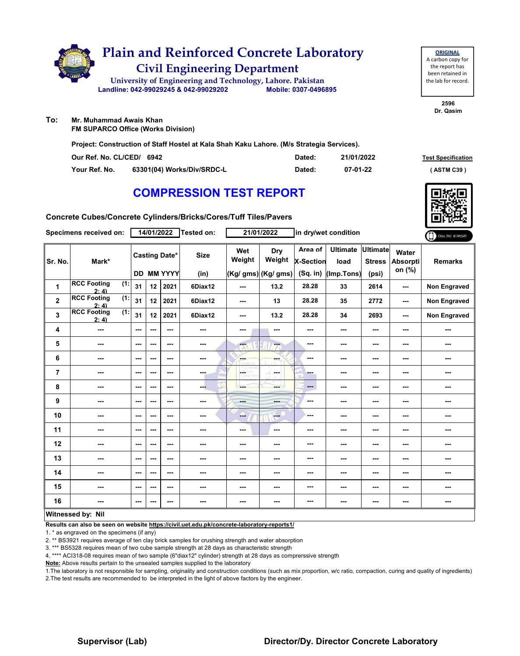

**ORIGINAL** A carbon copy for the report has been retained in the lab for record.

> **2596 Dr. Qasim**

**To: Mr. Muhammad Awais Khan FM SUPARCO Office (Works Division)**

**Project: Construction of Staff Hostel at Kala Shah Kaku Lahore. (M/s Strategia Services).**

| Our Ref. No. CL/CED/ 6942 |                            | Dated: | 21/01/2022 | <b>Test Specification</b> |
|---------------------------|----------------------------|--------|------------|---------------------------|
| Your Ref. No.             | 63301(04) Works/Div/SRDC-L | Dated: | 07-01-22   | (ASTM C39)                |

# **COMPRESSION TEST REPORT**

**Concrete Cubes/Concrete Cylinders/Bricks/Cores/Tuff Tiles/Pavers**

|                | Specimens received on:                       |                          | 14/01/2022 |                                           | Tested on:      |                 | 21/01/2022                           |                                           | in dry/wet condition                  |                                  |                             | ONLINE REPORT       |
|----------------|----------------------------------------------|--------------------------|------------|-------------------------------------------|-----------------|-----------------|--------------------------------------|-------------------------------------------|---------------------------------------|----------------------------------|-----------------------------|---------------------|
| Sr. No.        | Mark*                                        |                          |            | <b>Casting Date*</b><br><b>DD MM YYYY</b> | <b>Size</b>     | Wet<br>Weight   | Dry<br>Weight<br>(Kg/ gms) (Kg/ gms) | Area of<br><b>X-Section</b><br>$(Sq.$ in) | <b>Ultimate</b><br>load<br>(Imp.Tons) | <b>Ultimate</b><br><b>Stress</b> | Water<br>Absorpti<br>on (%) | <b>Remarks</b>      |
|                |                                              |                          |            |                                           | (in)            |                 |                                      |                                           |                                       | (psi)                            |                             |                     |
| 1              | <b>RCC Footing</b><br>(1:<br>2:41            | 31                       | 12         | 2021                                      | 6Diax12         | $- - -$         | 13.2                                 | 28.28                                     | 33                                    | 2614                             | $-$                         | <b>Non Engraved</b> |
| $\mathbf 2$    | <b>RCC Footing</b><br>$\overline{1}$<br>2:41 | 31                       | 12         | 2021                                      | 6Diax12         | ---             | 13                                   | 28.28                                     | 35                                    | 2772                             | ---                         | <b>Non Engraved</b> |
| 3              | <b>RCC Footing</b><br>(1:<br>2:4             | 31                       | 12         | 2021                                      | 6Diax12         | ---             | 13.2                                 | 28.28                                     | 34                                    | 2693                             | ---                         | <b>Non Engraved</b> |
| 4              | $\overline{\phantom{a}}$                     | $--$                     | ---        | $\overline{\phantom{a}}$                  | ---             | ---             | ---                                  | ---                                       | ---                                   | ---                              |                             | ---                 |
| 5              | ---                                          | $\sim$ $\sim$            | ---        | $\sim$ $\sim$                             | $\sim$ $\sim$   | ---             | ---                                  | ---                                       | ---                                   | ---                              | ---                         | ---                 |
| 6              | ---                                          | $\sim$ $\sim$            | ---        | $\sim$ $\sim$                             | ---             | ---             | ---                                  | ---                                       | ---                                   | ---                              | ---                         | ---                 |
| $\overline{7}$ | $\overline{\phantom{a}}$                     | $\sim$                   | ---        | $\sim$ $\sim$                             | $\sim$ - $\sim$ | LGS.<br>D. VOYI | a Su<br>---                          | ---                                       | ---                                   | ---                              | ---                         | ---                 |
| 8              | $\sim$                                       | $--$                     | ---        | $\sim$                                    | --              | ---             | ment of                              | ---                                       | ---                                   | ---                              |                             | ---                 |
| 9              | ---                                          | $\overline{\phantom{a}}$ | ---        | $- - -$                                   | $\sim$          | <b>Head</b>     | ---                                  | ---                                       | ---                                   | ---                              | ---                         | ---                 |
| 10             | ---                                          | $\sim$ $\sim$            | ---        | $\sim$ $\sim$                             | ---             | ---             | <b>Address</b>                       | ---                                       | ---                                   | ---                              | ---                         | ---                 |
| 11             | ---                                          | $-$                      | ---        | $\sim$ $\sim$                             | $- - -$         | ---             | ---                                  | ---                                       | ---                                   | $\overline{\phantom{a}}$         | ---                         | ---                 |
| 12             | $\overline{\phantom{a}}$                     | $\overline{\phantom{a}}$ | ---        | $\sim$ $\sim$                             | ---             | ---             | ---                                  | ---                                       | ---                                   | ---                              | ---                         | ---                 |
| 13             | ---                                          | ---                      | ---        | $- - -$                                   | ---             | ---             | ---                                  | ---                                       | ---                                   | ---                              | ---                         | ---                 |
| 14             | ---                                          | $\sim$ $\sim$            | ---        | $- - -$                                   | ---             | ---             | ---                                  | ---                                       | ---                                   | ---                              | ---                         | ---                 |
| 15             | $- - -$                                      | $\overline{\phantom{a}}$ | ---        | $\sim$ $\sim$                             | $\sim$ $\sim$   | ---             | ---                                  | ---                                       | ---                                   | ---                              | ---                         | ---                 |
| 16             | ---                                          | $\sim$ $\sim$            | ---        | $- - -$                                   | ---             | ---             | ---                                  | ---                                       | ---                                   | ---                              | ---                         | ---                 |
|                | Witnossod hy Nil                             |                          |            |                                           |                 |                 |                                      |                                           |                                       |                                  |                             |                     |

#### **Witnessed by: Nil**

**Results can also be seen on website https://civil.uet.edu.pk/concrete-laboratory-reports1/**

1. \* as engraved on the specimens (if any)

2. \*\* BS3921 requires average of ten clay brick samples for crushing strength and water absorption

3. \*\*\* BS5328 requires mean of two cube sample strength at 28 days as characteristic strength

4. \*\*\*\* ACI318-08 requires mean of two sample (6"diax12" cylinder) strength at 28 days as comprerssive strength

**Note:** Above results pertain to the unsealed samples supplied to the laboratory

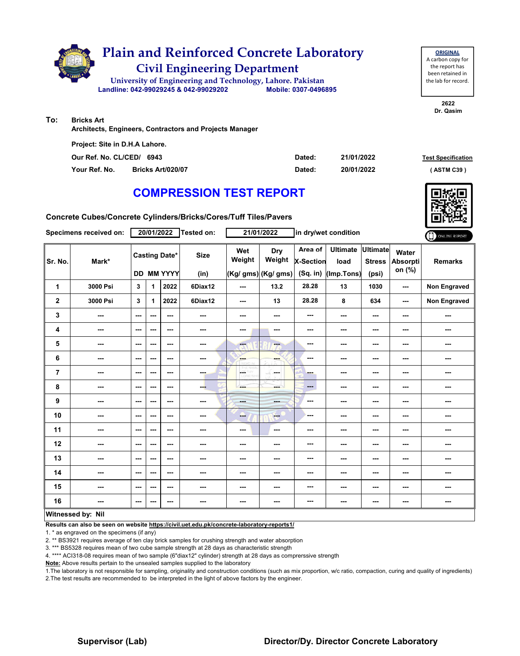

**2622**

**Dr. Qasim**

**To: Bricks Art**

**Architects, Engineers, Contractors and Projects Manager**

**Our Ref. No. CL/CED/ Dated: Test Specification 6943 Your Ref. No. Bricks Art/020/07 Dated: ( ASTM C39 ) 21/01/2022 20/01/2022 Project: Site in D.H.A Lahore.**

# **COMPRESSION TEST REPORT**

**Concrete Cubes/Concrete Cylinders/Bricks/Cores/Tuff Tiles/Pavers**

|                         | Specimens received on:   |                          | 20/01/2022 |                                    | Tested on:          |                         | 21/01/2022                                  |                                    | in dry/wet condition                  |                                           |                                    | ONLINE REPORT  |
|-------------------------|--------------------------|--------------------------|------------|------------------------------------|---------------------|-------------------------|---------------------------------------------|------------------------------------|---------------------------------------|-------------------------------------------|------------------------------------|----------------|
| Sr. No.                 | Mark*                    |                          |            | <b>Casting Date*</b><br>DD MM YYYY | <b>Size</b><br>(in) | Wet<br>Weight           | <b>Dry</b><br>Weight<br>(Kg/ gms) (Kg/ gms) | Area of<br>X-Section<br>$(Sq.$ in) | <b>Ultimate</b><br>load<br>(Imp.Tons) | <b>Ultimate</b><br><b>Stress</b><br>(psi) | Water<br><b>Absorpti</b><br>on (%) | <b>Remarks</b> |
| 1                       | 3000 Psi                 | 3                        | 1          | 2022                               | 6Diax12             | ---                     | 13.2                                        | 28.28                              | 13                                    | 1030                                      | ---                                | Non Engraved   |
| $\overline{\mathbf{2}}$ | 3000 Psi                 | 3                        | 1          | 2022                               | 6Diax12             | ---                     | 13                                          | 28.28                              | 8                                     | 634                                       | ---                                | Non Engraved   |
| 3                       | ---                      | $\overline{\phantom{a}}$ | ---        | ---                                | $\sim$ $\sim$       | ---                     | ---                                         | ---                                | ---                                   | ---                                       | ---                                | ---            |
| 4                       | $\overline{\phantom{a}}$ | ---                      | ---        | $\overline{\phantom{a}}$           | ---                 | ---                     | ---                                         | ---                                | ---                                   | $--$                                      | ---                                | ---            |
| 5                       | ---                      | ---                      | ---        | ---                                | ---                 | ---                     | $\overline{\phantom{a}}$                    | ---                                | ---                                   | ---                                       | ---                                | ---            |
| 6                       | ---                      | ---                      | ---        | ---                                | ---                 | ---                     | ---                                         | ---                                | ---                                   | ---                                       | ---                                | ---            |
| $\overline{7}$          | ---                      | ---                      | ---        | ---                                | ---                 | LGC.<br><b>LORD WHI</b> | $\frac{1}{2}$ .<br>in an                    | ---                                | ---                                   | ---                                       | ---                                | ---            |
| 8                       | ---                      | $\overline{\phantom{a}}$ | ---        | $\overline{\phantom{a}}$           | ---                 | ---                     | ---                                         | ---                                | ---                                   | ---                                       | ---                                | ---            |
| $\boldsymbol{9}$        | ---                      | $-$                      | ---        | ---                                | ---                 | <b>Basic</b>            | ---                                         | ---                                | ---                                   | $--$                                      | ---                                | ---            |
| 10                      | ---                      | $\sim$                   | ---        | $\sim$ $\sim$                      | ---                 | ---                     | <b>COL</b>                                  | ---                                | ---                                   | ---                                       | ---                                | ---            |
| 11                      | ---                      | $\sim$ $\sim$            | ---        | ---                                | ---                 | ---                     | $\sim$                                      | ---                                | ---                                   | $--$                                      | ---                                | ---            |
| 12                      | ---                      | ---                      | ---        | ---                                | ---                 | ---                     | ---                                         | ---                                | ---                                   | ---                                       | ---                                | ---            |
| 13                      | ---                      | ---                      | ---        | ---                                | ---                 | ---                     | ---                                         | ---                                | ---                                   | ---                                       | ---                                | ---            |
| 14                      | ---                      | ---                      | ---        | ---                                | ---                 | ---                     | ---                                         | ---                                | ---                                   | $--$                                      | ---                                | ---            |
| 15                      | ---                      | ---                      | ---        | $\overline{\phantom{a}}$           | ---                 | ---                     | ---                                         | ---                                | ---                                   | ---                                       | ---                                | ---            |
| 16                      | ---                      | $\sim$ $\sim$            | ---        | ---                                | $\sim$              | ---                     | ---                                         | ---                                | ---                                   | $\overline{\phantom{a}}$                  | ---                                | ---            |
|                         | <b>Witnessed by: Nil</b> |                          |            |                                    |                     |                         |                                             |                                    |                                       |                                           |                                    |                |

#### **Witnessed by: Nil**

**Results can also be seen on website https://civil.uet.edu.pk/concrete-laboratory-reports1/**

1. \* as engraved on the specimens (if any)

2. \*\* BS3921 requires average of ten clay brick samples for crushing strength and water absorption

3. \*\*\* BS5328 requires mean of two cube sample strength at 28 days as characteristic strength

4. \*\*\*\* ACI318-08 requires mean of two sample (6"diax12" cylinder) strength at 28 days as comprerssive strength

**Note:** Above results pertain to the unsealed samples supplied to the laboratory

1.The laboratory is not responsible for sampling, originality and construction conditions (such as mix proportion, w/c ratio, compaction, curing and quality of ingredients) 2.The test results are recommended to be interpreted in the light of above factors by the engineer.

#### **Supervisor (Lab) Director/Dy. Director Concrete Laboratory**

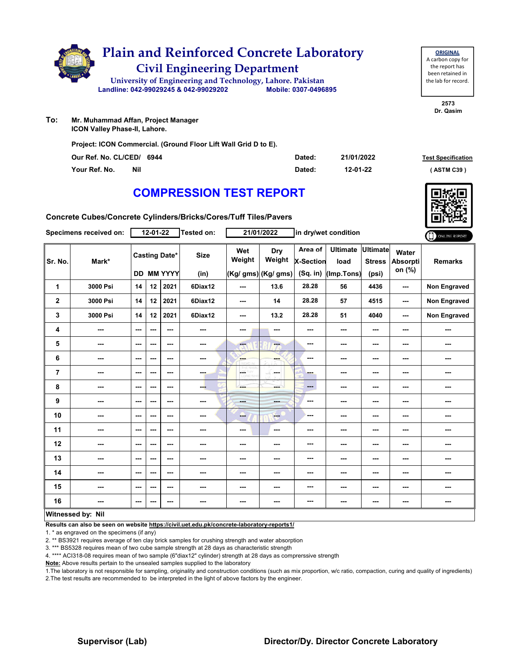

**To: Mr. Muhammad Affan, Project Manager ICON Valley Phase-II, Lahore.**

**Project: ICON Commercial. (Ground Floor Lift Wall Grid D to E).**

| Our Ref. No. CL/CED/ 6944 | Dated: | 21/01/2022 | <b>Test Specification</b> |
|---------------------------|--------|------------|---------------------------|
| Nil<br>Your Ref. No.      | Dated: | 12-01-22   | (ASTM C39)                |

## **COMPRESSION TEST REPORT**

**Concrete Cubes/Concrete Cylinders/Bricks/Cores/Tuff Tiles/Pavers**

|              | Specimens received on: |                          | 12-01-22 |                                    | Tested on:          |                          | 21/01/2022                           |                                           | in dry/wet condition                  |                                           |                             | ONLINE REPORT  |
|--------------|------------------------|--------------------------|----------|------------------------------------|---------------------|--------------------------|--------------------------------------|-------------------------------------------|---------------------------------------|-------------------------------------------|-----------------------------|----------------|
| Sr. No.      | Mark*                  |                          |          | <b>Casting Date*</b><br>DD MM YYYY | <b>Size</b><br>(in) | Wet<br>Weight            | Dry<br>Weight<br>(Kg/ gms) (Kg/ gms) | Area of<br><b>X-Section</b><br>$(Sq.$ in) | <b>Ultimate</b><br>load<br>(Imp.Tons) | <b>Ultimate</b><br><b>Stress</b><br>(psi) | Water<br>Absorpti<br>on (%) | <b>Remarks</b> |
| $\mathbf{1}$ | 3000 Psi               | 14                       | 12       | 2021                               | 6Diax12             | ---                      | 13.6                                 | 28.28                                     | 56                                    | 4436                                      | ---                         | Non Engraved   |
| $\mathbf{2}$ | 3000 Psi               | 14                       | 12       | 2021                               | 6Diax12             | ---                      | 14                                   | 28.28                                     | 57                                    | 4515                                      | ---                         | Non Engraved   |
| 3            | 3000 Psi               | 14                       | 12       | 2021                               | 6Diax12             | ---                      | 13.2                                 | 28.28                                     | 51                                    | 4040                                      | ---                         | Non Engraved   |
| 4            | ---                    | ---                      | ---      | $\sim$                             | ---                 | ---                      | ---                                  | ---                                       | ---                                   | $--$                                      | ---                         | ---            |
| 5            | ---                    | ---                      | ---      | ---                                | ---                 | ---                      | ---                                  | ---                                       | ---                                   | $--$                                      | ---                         | ---            |
| 6            | ---                    | ---                      | ---      | ---                                | ---                 | <b>Albert</b>            | ---                                  | ---                                       | ---                                   | $--$                                      | ---                         | ---            |
| 7            | ---                    | ---                      | ---      | ---                                | ---                 | CETHY<br>LORD WH         | ---                                  | ---                                       | ---                                   | $--$                                      | ---                         | ---            |
| 8            | ---                    | $- - -$                  | ---      | ---                                | ---                 | ---                      | ---                                  | ---                                       | ---                                   | $--$                                      | ---                         | ---            |
| 9            | ---                    | $-$                      | ---      | $-$                                | ---                 | <b>Basic</b>             | ---                                  | ---                                       | ---                                   | ---                                       | ---                         | ---            |
| 10           | ---                    | $\overline{\phantom{a}}$ | ---      | ---                                | ---                 | --                       | $-$                                  | ---                                       | ---                                   | $--$                                      | ---                         | ---            |
| 11           | ---                    | ---                      | ---      | ---                                | ---                 | $\overline{\phantom{a}}$ | $\sim$                               | ---                                       | ---                                   | ---                                       | ---                         | ---            |
| 12           | ---                    | ---                      | ---      | ---                                | ---                 | ---                      | ---                                  | ---                                       | ---                                   | ---                                       | ---                         | ---            |
| 13           | ---                    | $\sim$ $\sim$            | ---      | ---                                | $\sim$              | ---                      | ---                                  | ---                                       | ---                                   | $--$                                      | ---                         | ---            |
| 14           | ---                    | ---                      | ---      | ---                                | ---                 | ---                      | ---                                  | ---                                       | ---                                   | $--$                                      | ---                         | ---            |
| 15           | ---                    | ---                      | ---      | ---                                | ---                 | ---                      | ---                                  | ---                                       | ---                                   | $\cdots$                                  | ---                         | ---            |
| 16           | ---                    | ---                      | ---      | ---                                | ---                 | ---                      | ---                                  | ---                                       | ---                                   | ---                                       | ---                         | ---            |
|              | Witnessed by: Nil      |                          |          |                                    |                     |                          |                                      |                                           |                                       |                                           |                             |                |

**Results can also be seen on website https://civil.uet.edu.pk/concrete-laboratory-reports1/**

1. \* as engraved on the specimens (if any)

2. \*\* BS3921 requires average of ten clay brick samples for crushing strength and water absorption

3. \*\*\* BS5328 requires mean of two cube sample strength at 28 days as characteristic strength

4. \*\*\*\* ACI318-08 requires mean of two sample (6"diax12" cylinder) strength at 28 days as comprerssive strength

**Note:** Above results pertain to the unsealed samples supplied to the laboratory

1.The laboratory is not responsible for sampling, originality and construction conditions (such as mix proportion, w/c ratio, compaction, curing and quality of ingredients) 2.The test results are recommended to be interpreted in the light of above factors by the engineer.



the report has been retained in the lab for record.

**ORIGINAL** A carbon copy for

> **2573 Dr. Qasim**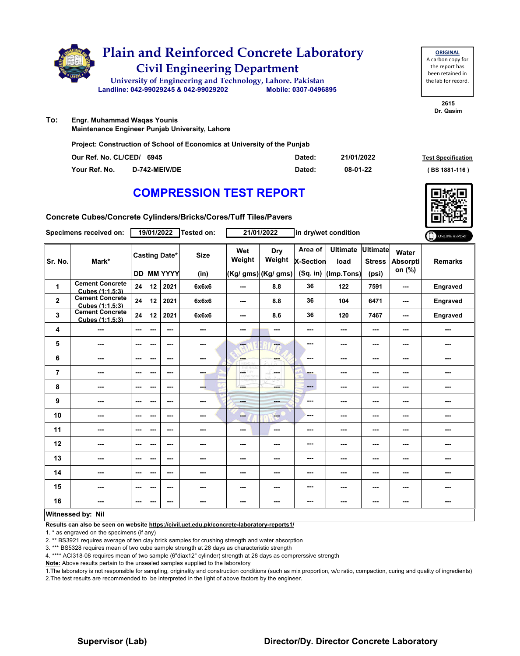

**ORIGINAL** A carbon copy for the report has been retained in the lab for record.

> **2615 Dr. Qasim**

**To: Engr. Muhammad Waqas Younis**

**Maintenance Engineer Punjab University, Lahore**

**Project: Construction of School of Economics at University of the Punjab**

| Our Ref. No. CL/CED/ 6945 |                      | Dated: | 21/01/2022 | <b>Test Specification</b> |
|---------------------------|----------------------|--------|------------|---------------------------|
| Your Ref. No.             | <b>D-742-MEIV/DE</b> | Dated: | 08-01-22   | $(BS 1881 - 116)$         |

## **COMPRESSION TEST REPORT**

**Concrete Cubes/Concrete Cylinders/Bricks/Cores/Tuff Tiles/Pavers**

|             | Specimens received on:                    |                          | 19/01/2022 |                                           | Tested on:          |                                   | 21/01/2022                           |                                         | in dry/wet condition                  |                                           |                                    | ONLINE REPORT   |
|-------------|-------------------------------------------|--------------------------|------------|-------------------------------------------|---------------------|-----------------------------------|--------------------------------------|-----------------------------------------|---------------------------------------|-------------------------------------------|------------------------------------|-----------------|
| Sr. No.     | Mark*                                     |                          |            | <b>Casting Date*</b><br><b>DD MM YYYY</b> | <b>Size</b><br>(in) | Wet<br>Weight                     | Dry<br>Weight<br>(Kg/ gms) (Kg/ gms) | Area of<br><b>X-Section</b><br>(Sq. in) | <b>Ultimate</b><br>load<br>(Imp.Tons) | <b>Ultimate</b><br><b>Stress</b><br>(psi) | Water<br><b>Absorpti</b><br>on (%) | <b>Remarks</b>  |
| 1           | <b>Cement Concrete</b><br>Cubes (1:1.5:3) | 24                       | 12         | 2021                                      | 6x6x6               | $- - -$                           | 8.8                                  | 36                                      | 122                                   | 7591                                      | $-$                                | Engraved        |
| $\mathbf 2$ | <b>Cement Concrete</b><br>Cubes (1:1.5:3) | 24                       | 12         | 2021                                      | 6x6x6               | ---                               | 8.8                                  | 36                                      | 104                                   | 6471                                      | ---                                | <b>Engraved</b> |
| 3           | <b>Cement Concrete</b><br>Cubes (1:1.5:3) | 24                       | 12         | 2021                                      | 6x6x6               | $--$                              | 8.6                                  | 36                                      | 120                                   | 7467                                      | ---                                | Engraved        |
| 4           | ---                                       | $--$                     | ---        | $\overline{\phantom{a}}$                  | ---                 | ---                               | ---                                  | ---                                     | ---                                   | ---                                       |                                    | ---             |
| 5           | ---                                       | $--$                     | ---        | $\sim$ $\sim$                             | $\sim$              | ---                               | ---                                  | ---                                     | ---                                   | ---                                       | ---                                | ---             |
| 6           | ---                                       | $--$                     | ---        | ---                                       | ---                 | ---                               | ---                                  | ---                                     | ---                                   | ---                                       | ---                                | ---             |
| 7           | ---                                       | $\sim$                   | ---        | $\overline{\phantom{a}}$                  | $-1$                | $\overline{\phantom{a}}$<br>D.VON | ---                                  | -                                       | ---                                   | ---                                       | ---                                | ---             |
| 8           | ---                                       | ---                      | ---        | ---                                       | ---                 | ---                               | mente di                             | $---$                                   | ---                                   | ---                                       | ---                                | ---             |
| 9           | ---                                       | $\overline{\phantom{a}}$ | ---        | $\overline{\phantom{a}}$                  | $\sim$              | ---                               | $-100$                               | ---                                     | ---                                   | ---                                       | ---                                | ---             |
| 10          | $\sim$                                    | $\overline{\phantom{a}}$ | ---        | ---                                       | $\sim$              | --                                | $\frac{1}{1-\frac{1}{2}}$            | ---                                     | ---                                   | ---                                       |                                    | ---             |
| 11          | $\sim$                                    | $\overline{\phantom{a}}$ | ---        | ---                                       | ---                 | ---                               | $\sim$                               | ---                                     | ---                                   | ---                                       |                                    | ---             |
| 12          | ---                                       | ---                      | ---        | ---                                       | ---                 | ---                               | ---                                  | ---                                     | ---                                   | ---                                       | ---                                | ---             |
| 13          | ---                                       | $\overline{\phantom{a}}$ | ---        | $\sim$ $\sim$                             | ---                 | ---                               | ---                                  | ---                                     | ---                                   | ---                                       |                                    | ---             |
| 14          | ---                                       | ---                      | ---        | ---                                       | ---                 | ---                               | ---                                  | ---                                     | ---                                   | ---                                       | ---                                | ---             |
| 15          | ---                                       | $\sim$ $\sim$            | ---        | $- - -$                                   | $\sim$ $\sim$       | ---                               | ---                                  | ---                                     | ---                                   | ---                                       | ---                                | ---             |
| 16          | ---                                       | $\sim$ $\sim$            | ---        | $\sim$ $\sim$                             | ---                 | ---                               | ---                                  | ---                                     | ---                                   | ---                                       | ---                                | ---             |
|             | Witnessed by: Nil                         |                          |            |                                           |                     |                                   |                                      |                                         |                                       |                                           |                                    |                 |

#### **Witnessed by: Nil**

**Results can also be seen on website https://civil.uet.edu.pk/concrete-laboratory-reports1/**

1. \* as engraved on the specimens (if any)

2. \*\* BS3921 requires average of ten clay brick samples for crushing strength and water absorption

3. \*\*\* BS5328 requires mean of two cube sample strength at 28 days as characteristic strength

4. \*\*\*\* ACI318-08 requires mean of two sample (6"diax12" cylinder) strength at 28 days as comprerssive strength

**Note:** Above results pertain to the unsealed samples supplied to the laboratory



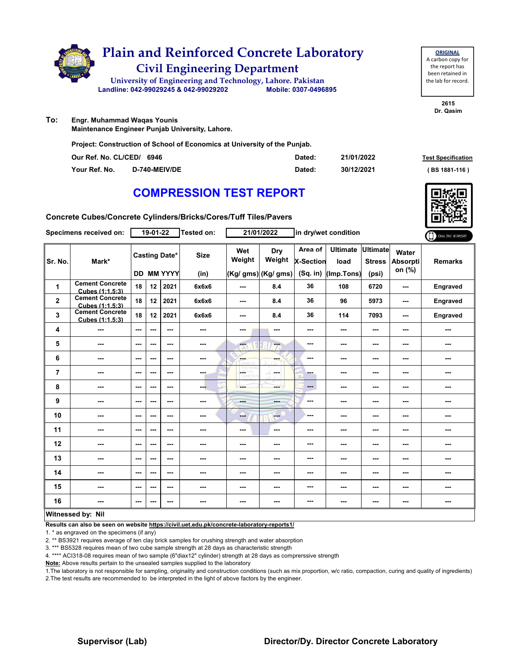

| <b>ORIGINAL</b>     |
|---------------------|
| A carbon copy for   |
| the report has      |
| been retained in    |
| the lab for record. |
|                     |

**2615 Dr. Qasim**

**To: Engr. Muhammad Waqas Younis**

**Maintenance Engineer Punjab University, Lahore.**

**Project: Construction of School of Economics at University of the Punjab.**

| Our Ref. No. CL/CED/ 6946 |               | Dated: | 21/01/2022 | <b>Test Specification</b> |
|---------------------------|---------------|--------|------------|---------------------------|
| Your Ref. No.             | D-740-MEIV/DE | Dated: | 30/12/2021 | (BS 1881-116)             |

#### **COMPRESSION TEST REPORT**

**Concrete Cubes/Concrete Cylinders/Bricks/Cores/Tuff Tiles/Pavers**

|                | Specimens received on:                    |         | 19-01-22 |                                    | <b>Tested on:</b>   |               | 21/01/2022                           |                                         | in dry/wet condition                  |                                           |                             | ONLINE REPORT            |
|----------------|-------------------------------------------|---------|----------|------------------------------------|---------------------|---------------|--------------------------------------|-----------------------------------------|---------------------------------------|-------------------------------------------|-----------------------------|--------------------------|
| Sr. No.        | Mark*                                     |         |          | <b>Casting Date*</b><br>DD MM YYYY | <b>Size</b><br>(in) | Wet<br>Weight | Dry<br>Weight<br>(Kg/ gms) (Kg/ gms) | Area of<br><b>X-Section</b><br>(Sq. in) | <b>Ultimate</b><br>load<br>(Imp.Tons) | <b>Ultimate</b><br><b>Stress</b><br>(psi) | Water<br>Absorpti<br>on (%) | <b>Remarks</b>           |
| 1              | <b>Cement Concrete</b><br>Cubes (1:1.5:3) | 18      | 12       | 2021                               | 6x6x6               | $- - -$       | 8.4                                  | 36                                      | 108                                   | 6720                                      | ---                         | Engraved                 |
| $\mathbf{2}$   | <b>Cement Concrete</b><br>Cubes (1:1.5:3) | 18      | 12       | 2021                               | 6x6x6               | ---           | 8.4                                  | 36                                      | 96                                    | 5973                                      | ---                         | Engraved                 |
| 3              | <b>Cement Concrete</b><br>Cubes (1:1.5:3) | 18      | 12       | 2021                               | 6x6x6               | $--$          | 8.4                                  | 36                                      | 114                                   | 7093                                      | ---                         | Engraved                 |
| 4              | ---                                       | ---     | $-$ --   | ---                                | ---                 | ---           | ---                                  | ---                                     | ---                                   | ---                                       | ---                         | ---                      |
| 5              | ---                                       | ---     | ---      | ---                                | ---                 | ---           | ---                                  | ---                                     | ---                                   | $--$                                      | ---                         | ---                      |
| 6              | ---                                       | ---     | ---      | ---                                | ---                 | ---           | ---                                  | ---                                     | ---                                   | ---                                       | ---                         | ---                      |
| $\overline{7}$ | ---                                       | ---     | ---      | ---                                | ---                 | A.            | ---                                  | ---                                     | ---                                   | $--$                                      | ---                         | ---                      |
| 8              | ---                                       | $- - -$ | ---      | ---                                | ---                 |               | ---                                  | ---                                     | ---                                   | $--$                                      | ---                         | ---                      |
| 9              | ---                                       | ---     | ---      | ---                                | ---                 | <b>Barba</b>  | ---                                  | ---                                     | ---                                   | ---                                       | ---                         | ---                      |
| 10             | ---                                       | $--$    | ---      | ---                                | ---                 | --            | <b>Free</b>                          | ---                                     | ---                                   | $--$                                      | ---                         | $\overline{\phantom{a}}$ |
| 11             | ---                                       | ---     | ---      | ---                                | ---                 | ---           | ---                                  | ---                                     | ---                                   | ---                                       | ---                         | ---                      |
| 12             | ---                                       | ---     | ---      | ---                                | ---                 | ---           | ---                                  | ---                                     | ---                                   | ---                                       | ---                         | ---                      |
| 13             | ---                                       | $- - -$ | ---      | ---                                | ---                 | ---           | ---                                  | ---                                     | ---                                   | ---                                       | ---                         | ---                      |
| 14             | ---                                       | ---     | ---      | ---                                | ---                 | ---           | ---                                  | ---                                     | ---                                   | $--$                                      | ---                         | ---                      |
| 15             | ---                                       | ---     | ---      | ---                                | ---                 | ---           | ---                                  | ---                                     | ---                                   | ---                                       | ---                         | ---                      |
| 16             | ---                                       | $--$    | ---      | ---                                | ---                 | ---           | ---                                  | ---                                     | ---                                   | ---                                       | ---                         | ---                      |
|                | Witnessed by: Nil                         |         |          |                                    |                     |               |                                      |                                         |                                       |                                           |                             |                          |

**Results can also be seen on website https://civil.uet.edu.pk/concrete-laboratory-reports1/**

1. \* as engraved on the specimens (if any)

2. \*\* BS3921 requires average of ten clay brick samples for crushing strength and water absorption

3. \*\*\* BS5328 requires mean of two cube sample strength at 28 days as characteristic strength

4. \*\*\*\* ACI318-08 requires mean of two sample (6"diax12" cylinder) strength at 28 days as comprerssive strength

**Note:** Above results pertain to the unsealed samples supplied to the laboratory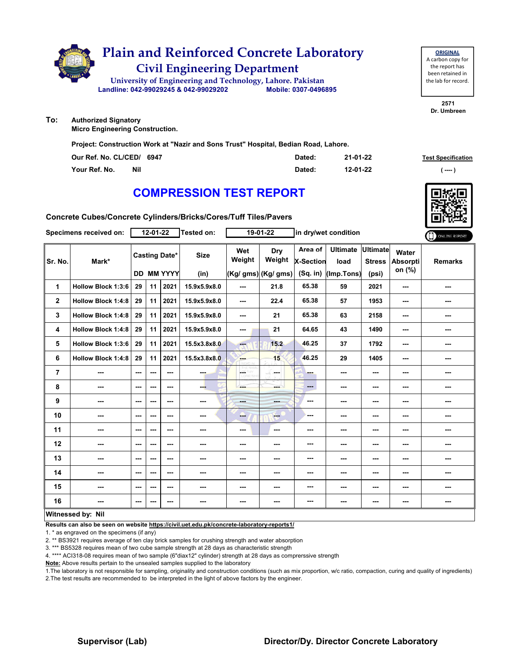

| <b>ORIGINAL</b>     |
|---------------------|
| A carbon copy for   |
| the report has      |
| been retained in    |
| the lab for record. |
|                     |

**2571 Dr. Umbreen**

**Authorized Signatory**

**Micro Engineering Construction.**

**To:**

**Project: Construction Work at "Nazir and Sons Trust" Hospital, Bedian Road, Lahore.**

| Our Ref. No. CL/CED/ 6947   | Dated: | 21-01-22 | <b>Test Specification</b> |
|-----------------------------|--------|----------|---------------------------|
| Your Ref. No.<br><b>Nil</b> | Dated: | 12-01-22 | ( ---- )                  |

## **COMPRESSION TEST REPORT**

**Concrete Cubes/Concrete Cylinders/Bricks/Cores/Tuff Tiles/Pavers**

|                          | Specimens received on:    |         | 12-01-22                 |                          | Tested on:   |               | 19-01-22            | in dry/wet condition |                         | ONLINE REPORT             |                             |                |
|--------------------------|---------------------------|---------|--------------------------|--------------------------|--------------|---------------|---------------------|----------------------|-------------------------|---------------------------|-----------------------------|----------------|
| Sr. No.                  | Mark*                     |         |                          | <b>Casting Date*</b>     | <b>Size</b>  | Wet<br>Weight | Dry<br>Weight       | Area of<br>X-Section | <b>Ultimate</b><br>load | Ultimate<br><b>Stress</b> | Water<br>Absorpti<br>on (%) | <b>Remarks</b> |
|                          |                           |         |                          | <b>DD MM YYYY</b>        | (in)         |               | (Kg/ gms) (Kg/ gms) | $(Sq.$ in)           | (Imp.Tons)              | (psi)                     |                             |                |
| 1                        | Hollow Block 1:3:6        | 29      | 11                       | 2021                     | 15.9x5.9x8.0 | ---           | 21.8                | 65.38                | 59                      | 2021                      | ---                         | ---            |
| $\mathbf{2}$             | <b>Hollow Block 1:4:8</b> | 29      | 11                       | 2021                     | 15.9x5.9x8.0 | ---           | 22.4                | 65.38                | 57                      | 1953                      | ---                         | ---            |
| 3                        | <b>Hollow Block 1:4:8</b> | 29      | 11                       | 2021                     | 15.9x5.9x8.0 | ---           | 21                  | 65.38                | 63                      | 2158                      | ---                         | ---            |
| 4                        | <b>Hollow Block 1:4:8</b> | 29      | 11                       | 2021                     | 15.9x5.9x8.0 | ---           | 21                  | 64.65                | 43                      | 1490                      | ---                         | ---            |
| 5                        | Hollow Block 1:3:6        | 29      | 11                       | 2021                     | 15.5x3.8x8.0 | ---           | 15.2                | 46.25                | 37                      | 1792                      | ---                         | ---            |
| 6                        | <b>Hollow Block 1:4:8</b> | 29      | 11                       | 2021                     | 15.5x3.8x8.0 | <b>Albert</b> | 15                  | 46.25                | 29                      | 1405                      | ---                         | ---            |
| $\overline{7}$           | ---                       | ---     | $--$                     | $\overline{\phantom{a}}$ | ---          | L.            | in mar              | - -                  | ---                     | ---                       | ---                         | ---            |
| 8                        | ---                       | $--$    | $\overline{\phantom{a}}$ | $\overline{\phantom{a}}$ | ---          | ---           | ---                 | $\frac{1}{2}$        | ---                     | ---                       | ---                         | ---            |
| $\boldsymbol{9}$         | ---                       | $--$    | ---                      | $\overline{\phantom{a}}$ | ---          | ---           | ---                 | ---                  | ---                     | ---                       | ---                         | ---            |
| 10                       | ---                       | ---     | ---                      | ---                      | ---          | ---           | $-$                 | ---                  | ---                     | ---                       |                             | ---            |
| 11                       | ---                       | $- - -$ | ---                      | ---                      | ---          | ---           | $\sim$ $\sim$       | ---                  | ---                     | ---                       | ---                         | ---            |
| 12                       | ---                       | ---     | ---                      | ---                      | ---          | ---           | ---                 | ---                  | ---                     | ---                       | ---                         | ---            |
| 13                       | ---                       | ---     | ---                      | ---                      | ---          | ---           | ---                 | ---                  | ---                     | ---                       | ---                         | ---            |
| 14                       | ---                       | ---     | ---                      | ---                      | ---          | ---           | ---                 | ---                  | ---                     | ---                       | ---                         | ---            |
| 15                       | ---                       | ---     | ---                      | ---                      | ---          | ---           | ---                 | ---                  | ---                     | ---                       |                             | ---            |
| 16                       | ---                       | ---     | ---                      | ---                      | ---          | ---           | ---                 | ---                  | ---                     | ---                       | ---                         | ---            |
| <b>Witnessed by: Nil</b> |                           |         |                          |                          |              |               |                     |                      |                         |                           |                             |                |

#### **Witnessed by: Nil**

**Results can also be seen on website https://civil.uet.edu.pk/concrete-laboratory-reports1/**

1. \* as engraved on the specimens (if any)

2. \*\* BS3921 requires average of ten clay brick samples for crushing strength and water absorption

3. \*\*\* BS5328 requires mean of two cube sample strength at 28 days as characteristic strength

4. \*\*\*\* ACI318-08 requires mean of two sample (6"diax12" cylinder) strength at 28 days as comprerssive strength

**Note:** Above results pertain to the unsealed samples supplied to the laboratory

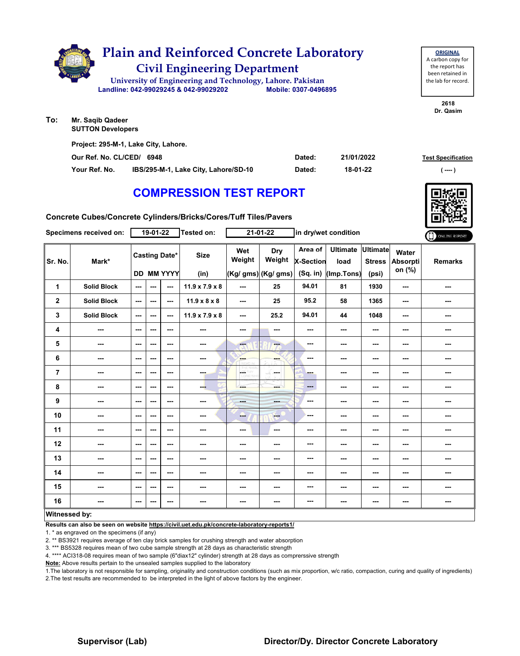

| Project: 295-M-1, Lake City, Lahore. |                                      |        |            |                           |  |  |  |  |  |  |
|--------------------------------------|--------------------------------------|--------|------------|---------------------------|--|--|--|--|--|--|
| Our Ref. No. CL/CED/ 6948            |                                      | Dated: | 21/01/2022 | <b>Test Specification</b> |  |  |  |  |  |  |
| Your Ref. No.                        | IBS/295-M-1, Lake City, Lahore/SD-10 | Dated: | 18-01-22   | (----- )                  |  |  |  |  |  |  |

# **COMPRESSION TEST REPORT**

**Concrete Cubes/Concrete Cylinders/Bricks/Cores/Tuff Tiles/Pavers**

|                      | Specimens received on:   |                          | $19-01-22$ |                                           | Tested on:                 |                         | $21 - 01 - 22$                              |                                         | in dry/wet condition                  |                                    |                                    | ONLINE REPORT  |
|----------------------|--------------------------|--------------------------|------------|-------------------------------------------|----------------------------|-------------------------|---------------------------------------------|-----------------------------------------|---------------------------------------|------------------------------------|------------------------------------|----------------|
| Sr. No.              | Mark*                    |                          |            | <b>Casting Date*</b><br><b>DD MM YYYY</b> | <b>Size</b><br>(in)        | Wet<br>Weight           | <b>Dry</b><br>Weight<br>(Kg/ gms) (Kg/ gms) | Area of<br><b>X-Section</b><br>(Sq. in) | <b>Ultimate</b><br>load<br>(Imp.Tons) | Ultimate<br><b>Stress</b><br>(psi) | Water<br><b>Absorpti</b><br>on (%) | <b>Remarks</b> |
| 1                    | <b>Solid Block</b>       | ---                      | ---        | $\sim$ $\sim$                             | $11.9 \times 7.9 \times 8$ | ---                     | 25                                          | 94.01                                   | 81                                    | 1930                               | ---                                | ---            |
| $\mathbf 2$          | <b>Solid Block</b>       | $\sim$ $\sim$            | ---        | $\sim$ $\sim$                             | $11.9 \times 8 \times 8$   | ---                     | 25                                          | 95.2                                    | 58                                    | 1365                               | $\sim$                             | ---            |
| 3                    | <b>Solid Block</b>       | $\sim$ $\sim$            | $--$       | $\overline{\phantom{a}}$                  | $11.9 \times 7.9 \times 8$ | ---                     | 25.2                                        | 94.01                                   | 44                                    | 1048                               | ---                                | ---            |
| 4                    | ---                      | $\overline{\phantom{a}}$ | ---        | $\sim$ $\sim$                             | ---                        | ---                     | $\overline{a}$                              | $\sim$                                  | ---                                   | $\overline{\phantom{a}}$           | ---                                | ---            |
| 5                    | $\overline{\phantom{a}}$ | $\sim$                   | ---        | $\sim$                                    | $\sim$                     | $\overline{\mathbf{a}}$ | ---                                         | $\overline{\phantom{a}}$                | ---                                   | ---                                | ---                                | ---            |
| 6                    | $\sim$                   | $\overline{\phantom{a}}$ | ---        | $- - -$                                   | $\sim$                     | <b>SHOP</b>             | ---                                         | ---                                     | ---                                   | ---                                | ---                                | ---            |
| $\overline{7}$       | ---                      | $\overline{\phantom{a}}$ | ---        | $\sim$ $\sim$                             | man.                       | <b>OF THY</b>           | ---                                         | ---                                     | ---                                   | ---                                | ---                                | ---            |
| 8                    | ---                      | $\sim$ $\sim$            | ---        | ---                                       | ---                        | ---                     | ---                                         | $\qquad \qquad \cdots$                  | ---                                   | ---                                | ---                                | ---            |
| 9                    | $\overline{\phantom{a}}$ | $\sim$                   | ---        | $\sim$ $\sim$                             | $\sim$ $\sim$              | ---                     | ---                                         | ---                                     | ---                                   | ---                                | ---                                | ---            |
| 10                   | ---                      | $\overline{\phantom{a}}$ | ---        | $\sim$ $\sim$                             | ---                        | -                       | <b>Free</b>                                 | ---                                     | ---                                   | ---                                |                                    | ---            |
| 11                   | $\overline{\phantom{a}}$ | $\sim$                   | ---        | $\sim$ $\sim$                             | $\sim$                     | ---                     | $\cdots$                                    | ---                                     | ---                                   | $\overline{\phantom{a}}$           | ---                                | ---            |
| 12                   | $\sim$                   | $\overline{\phantom{a}}$ | ---        | $- - -$                                   | $\sim$                     | ---                     | ---                                         | ---                                     | ---                                   | ---                                | ---                                | ---            |
| 13                   | ---                      | $--$                     | ---        | $\sim$ $\sim$                             | ---                        | ---                     | ---                                         | ---                                     | ---                                   | ---                                | ---                                | ---            |
| 14                   | ---                      | $\overline{\phantom{a}}$ | ---        | $\sim$ $\sim$                             | $\sim$                     | ---                     | ---                                         | ---                                     | ---                                   | ---                                | ---                                | ---            |
| 15                   | ---                      | $\overline{\phantom{a}}$ | ---        | $\sim$ $\sim$                             | ---                        | ---                     | ---                                         | ---                                     | ---                                   | ---                                | ---                                | ---            |
| 16                   | ---                      | $\sim$                   | ---        | $\sim$                                    | $\sim$                     | ---                     | $\sim$                                      | ---                                     | ---                                   | ---                                | ---                                | ---            |
| <b>Witnessed by:</b> |                          |                          |            |                                           |                            |                         |                                             |                                         |                                       |                                    |                                    |                |

#### **Witnessed by:**

**Results can also be seen on website https://civil.uet.edu.pk/concrete-laboratory-reports1/**

1. \* as engraved on the specimens (if any)

2. \*\* BS3921 requires average of ten clay brick samples for crushing strength and water absorption

3. \*\*\* BS5328 requires mean of two cube sample strength at 28 days as characteristic strength

4. \*\*\*\* ACI318-08 requires mean of two sample (6"diax12" cylinder) strength at 28 days as comprerssive strength

**Note:** Above results pertain to the unsealed samples supplied to the laboratory